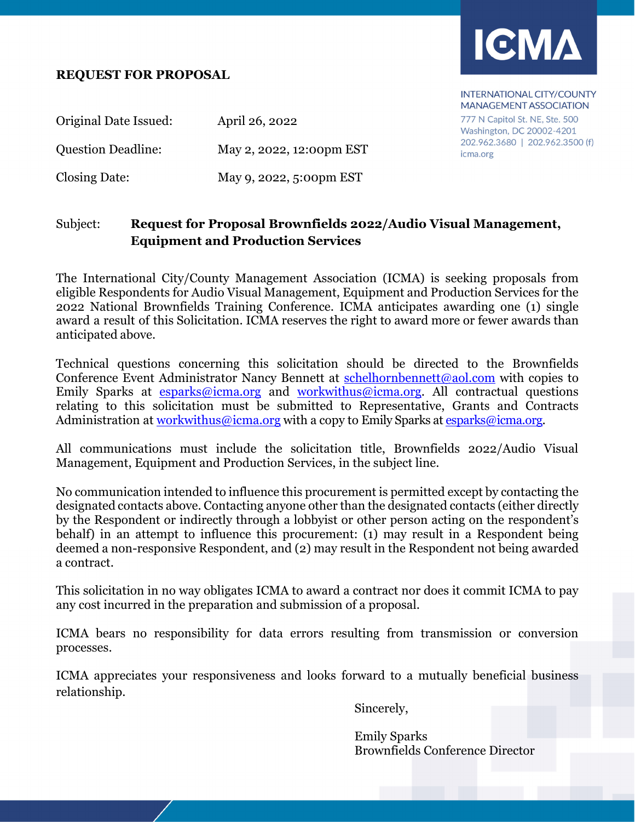#### **REQUEST FOR PROPOSAL**



INTERNATIONAL CITY/COUNTY **MANAGEMENT ASSOCIATION** 

777 N Capitol St. NE, Ste. 500 Washington, DC 20002-4201 202.962.3680 | 202.962.3500 (f) icma.org

Original Date Issued: April 26, 2022 Question Deadline: May 2, 2022, 12:00pm EST Closing Date: May 9, 2022, 5:00pm EST

### Subject: **Request for Proposal Brownfields 2022/Audio Visual Management, Equipment and Production Services**

The International City/County Management Association (ICMA) is seeking proposals from eligible Respondents for Audio Visual Management, Equipment and Production Services for the 2022 National Brownfields Training Conference. ICMA anticipates awarding one (1) single award a result of this Solicitation. ICMA reserves the right to award more or fewer awards than anticipated above.

Technical questions concerning this solicitation should be directed to the Brownfields Conference Event Administrator Nancy Bennett at schelhornbennett@aol.com with copies to Emily Sparks at  $esparks@iema.org$  and  $workwithus@iema.org. All contractedual questions$ </u></u> relating to this solicitation must be submitted to Representative, Grants and Contracts Administration at workwithus@icma.org with a copy to Emily Sparks at esparks@icma.org.

All communications must include the solicitation title, Brownfields 2022/Audio Visual Management, Equipment and Production Services, in the subject line.

No communication intended to influence this procurement is permitted except by contacting the designated contacts above. Contacting anyone other than the designated contacts (either directly by the Respondent or indirectly through a lobbyist or other person acting on the respondent's behalf) in an attempt to influence this procurement: (1) may result in a Respondent being deemed a non-responsive Respondent, and (2) may result in the Respondent not being awarded a contract.

This solicitation in no way obligates ICMA to award a contract nor does it commit ICMA to pay any cost incurred in the preparation and submission of a proposal.

ICMA bears no responsibility for data errors resulting from transmission or conversion processes.

ICMA appreciates your responsiveness and looks forward to a mutually beneficial business relationship.

Sincerely,

Emily Sparks Brownfields Conference Director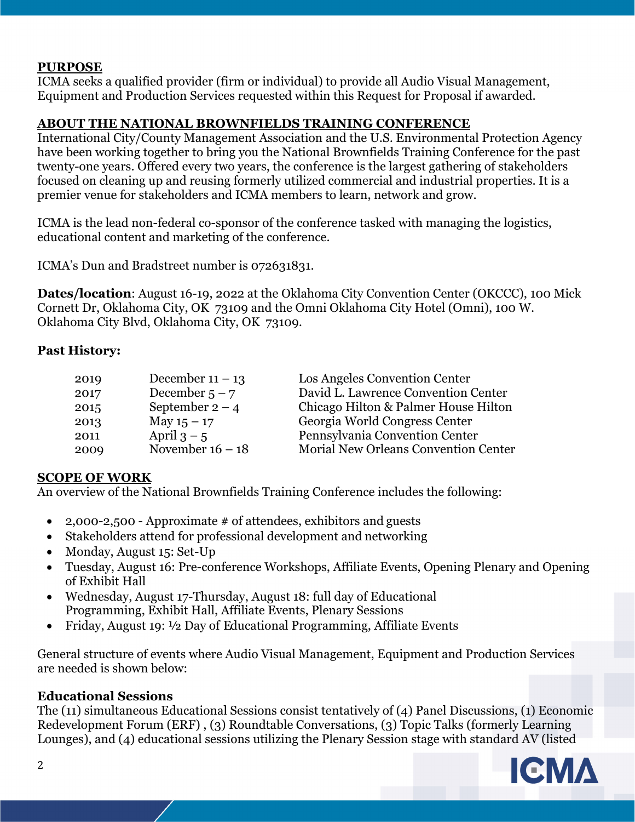### **PURPOSE**

ICMA seeks a qualified provider (firm or individual) to provide all Audio Visual Management, Equipment and Production Services requested within this Request for Proposal if awarded.

#### **ABOUT THE NATIONAL BROWNFIELDS TRAINING CONFERENCE**

International City/County Management Association and the U.S. Environmental Protection Agency have been working together to bring you the National Brownfields Training Conference for the past twenty-one years. Offered every two years, the conference is the largest gathering of stakeholders focused on cleaning up and reusing formerly utilized commercial and industrial properties. It is a premier venue for stakeholders and ICMA members to learn, network and grow.

ICMA is the lead non-federal co-sponsor of the conference tasked with managing the logistics, educational content and marketing of the conference.

ICMA's Dun and Bradstreet number is 072631831.

**Dates/location**: August 16-19, 2022 at the Oklahoma City Convention Center (OKCCC), 100 Mick Cornett Dr, Oklahoma City, OK 73109 and the Omni Oklahoma City Hotel (Omni), 100 W. Oklahoma City Blvd, Oklahoma City, OK 73109.

#### **Past History:**

| 2019 | December $11 - 13$ | Los Angeles Convention Center        |
|------|--------------------|--------------------------------------|
| 2017 | December $5 - 7$   | David L. Lawrence Convention Center  |
| 2015 | September $2 - 4$  | Chicago Hilton & Palmer House Hilton |
| 2013 | May $15 - 17$      | Georgia World Congress Center        |
| 2011 | April $3 - 5$      | Pennsylvania Convention Center       |
| 2009 | November $16 - 18$ | Morial New Orleans Convention Center |

#### **SCOPE OF WORK**

An overview of the National Brownfields Training Conference includes the following:

- 2,000-2,500 Approximate  $\#$  of attendees, exhibitors and guests
- Stakeholders attend for professional development and networking
- Monday, August 15: Set-Up
- Tuesday, August 16: Pre-conference Workshops, Affiliate Events, Opening Plenary and Opening of Exhibit Hall
- Wednesday, August 17-Thursday, August 18: full day of Educational Programming, Exhibit Hall, Affiliate Events, Plenary Sessions
- Friday, August 19: 1/2 Day of Educational Programming, Affiliate Events

General structure of events where Audio Visual Management, Equipment and Production Services are needed is shown below:

#### **Educational Sessions**

The (11) simultaneous Educational Sessions consist tentatively of (4) Panel Discussions, (1) Economic Redevelopment Forum (ERF) , (3) Roundtable Conversations, (3) Topic Talks (formerly Learning Lounges), and (4) educational sessions utilizing the Plenary Session stage with standard AV (listed

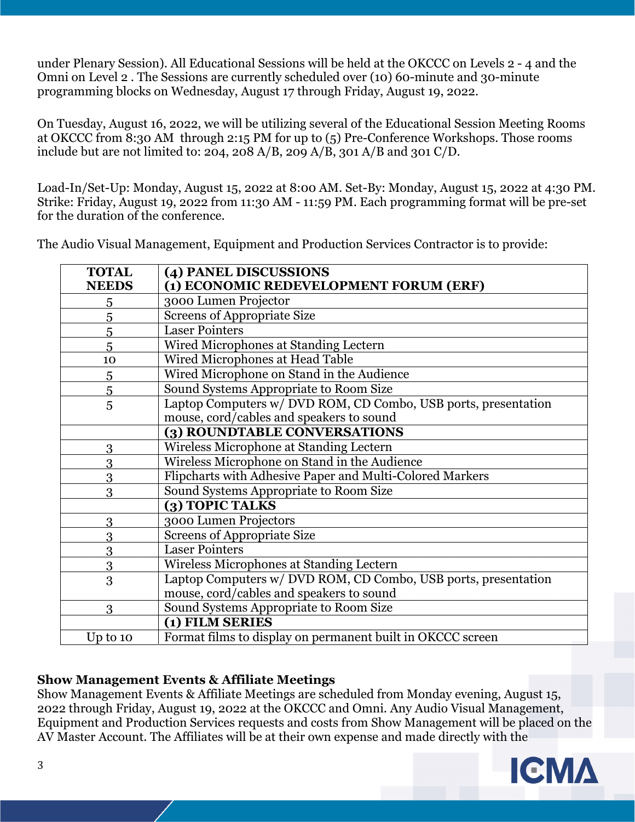under Plenary Session). All Educational Sessions will be held at the OKCCC on Levels 2 - 4 and the Omni on Level 2 . The Sessions are currently scheduled over (10) 60-minute and 30-minute programming blocks on Wednesday, August 17 through Friday, August 19, 2022.

On Tuesday, August 16, 2022, we will be utilizing several of the Educational Session Meeting Rooms at OKCCC from 8:30 AM through 2:15 PM for up to (5) Pre-Conference Workshops. Those rooms include but are not limited to: 204, 208 A/B, 209 A/B, 301 A/B and 301 C/D.

Load-In/Set-Up: Monday, August 15, 2022 at 8:00 AM. Set-By: Monday, August 15, 2022 at 4:30 PM. Strike: Friday, August 19, 2022 from 11:30 AM - 11:59 PM. Each programming format will be pre-set for the duration of the conference.

The Audio Visual Management, Equipment and Production Services Contractor is to provide:

| <b>TOTAL</b> | (4) PANEL DISCUSSIONS                                          |
|--------------|----------------------------------------------------------------|
| <b>NEEDS</b> | (1) ECONOMIC REDEVELOPMENT FORUM (ERF)                         |
| 5            | 3000 Lumen Projector                                           |
| 5            | <b>Screens of Appropriate Size</b>                             |
| 5            | <b>Laser Pointers</b>                                          |
| 5            | Wired Microphones at Standing Lectern                          |
| 10           | Wired Microphones at Head Table                                |
| 5            | Wired Microphone on Stand in the Audience                      |
| 5            | Sound Systems Appropriate to Room Size                         |
| 5            | Laptop Computers w/ DVD ROM, CD Combo, USB ports, presentation |
|              | mouse, cord/cables and speakers to sound                       |
|              | (3) ROUNDTABLE CONVERSATIONS                                   |
| 3            | Wireless Microphone at Standing Lectern                        |
| 3            | Wireless Microphone on Stand in the Audience                   |
| 3            | Flipcharts with Adhesive Paper and Multi-Colored Markers       |
| 3            | Sound Systems Appropriate to Room Size                         |
|              | (3) TOPIC TALKS                                                |
| 3            | 3000 Lumen Projectors                                          |
| 3            | <b>Screens of Appropriate Size</b>                             |
| 3            | <b>Laser Pointers</b>                                          |
| 3            | Wireless Microphones at Standing Lectern                       |
| 3            | Laptop Computers w/ DVD ROM, CD Combo, USB ports, presentation |
|              | mouse, cord/cables and speakers to sound                       |
| 3            | Sound Systems Appropriate to Room Size                         |
|              | (1) FILM SERIES                                                |
| Up to $10$   | Format films to display on permanent built in OKCCC screen     |

#### **Show Management Events & Affiliate Meetings**

Show Management Events & Affiliate Meetings are scheduled from Monday evening, August 15, 2022 through Friday, August 19, 2022 at the OKCCC and Omni. Any Audio Visual Management, Equipment and Production Services requests and costs from Show Management will be placed on the AV Master Account. The Affiliates will be at their own expense and made directly with the

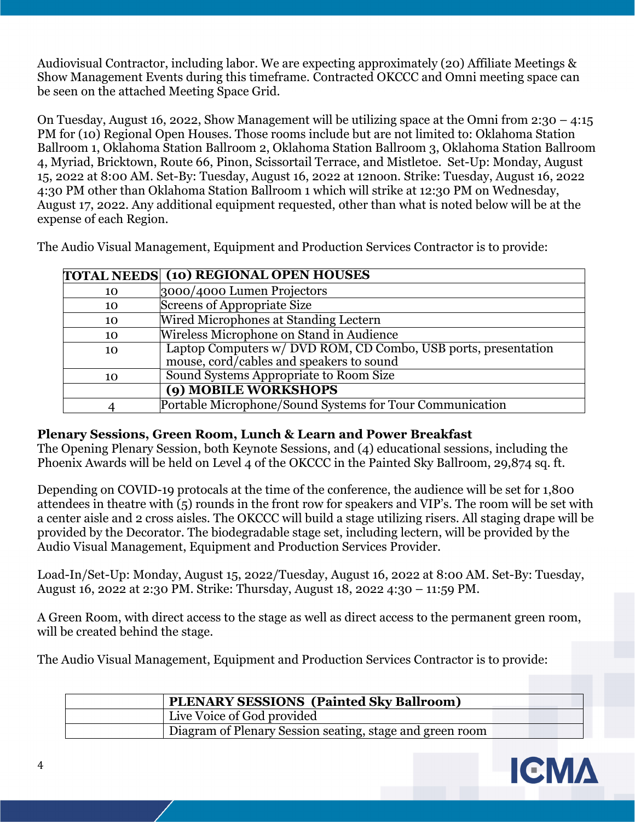Audiovisual Contractor, including labor. We are expecting approximately (20) Affiliate Meetings & Show Management Events during this timeframe. Contracted OKCCC and Omni meeting space can be seen on the attached Meeting Space Grid.

On Tuesday, August 16, 2022, Show Management will be utilizing space at the Omni from 2:30 – 4:15 PM for (10) Regional Open Houses. Those rooms include but are not limited to: Oklahoma Station Ballroom 1, Oklahoma Station Ballroom 2, Oklahoma Station Ballroom 3, Oklahoma Station Ballroom 4, Myriad, Bricktown, Route 66, Pinon, Scissortail Terrace, and Mistletoe. Set-Up: Monday, August 15, 2022 at 8:00 AM. Set-By: Tuesday, August 16, 2022 at 12noon. Strike: Tuesday, August 16, 2022 4:30 PM other than Oklahoma Station Ballroom 1 which will strike at 12:30 PM on Wednesday, August 17, 2022. Any additional equipment requested, other than what is noted below will be at the expense of each Region.

The Audio Visual Management, Equipment and Production Services Contractor is to provide:

|    | <b>TOTAL NEEDS (10) REGIONAL OPEN HOUSES</b>                   |
|----|----------------------------------------------------------------|
| 10 | 3000/4000 Lumen Projectors                                     |
| 10 | Screens of Appropriate Size                                    |
| 10 | Wired Microphones at Standing Lectern                          |
| 10 | Wireless Microphone on Stand in Audience                       |
| 10 | Laptop Computers w/ DVD ROM, CD Combo, USB ports, presentation |
|    | mouse, cord/cables and speakers to sound                       |
| 10 | Sound Systems Appropriate to Room Size                         |
|    | (9) MOBILE WORKSHOPS                                           |
|    | Portable Microphone/Sound Systems for Tour Communication       |

#### **Plenary Sessions, Green Room, Lunch & Learn and Power Breakfast**

The Opening Plenary Session, both Keynote Sessions, and (4) educational sessions, including the Phoenix Awards will be held on Level 4 of the OKCCC in the Painted Sky Ballroom, 29,874 sq. ft.

Depending on COVID-19 protocals at the time of the conference, the audience will be set for 1,800 attendees in theatre with  $\overline{5}$ ) rounds in the front row for speakers and VIP's. The room will be set with a center aisle and 2 cross aisles. The OKCCC will build a stage utilizing risers. All staging drape will be provided by the Decorator. The biodegradable stage set, including lectern, will be provided by the Audio Visual Management, Equipment and Production Services Provider.

Load-In/Set-Up: Monday, August 15, 2022/Tuesday, August 16, 2022 at 8:00 AM. Set-By: Tuesday, August 16, 2022 at 2:30 PM. Strike: Thursday, August 18, 2022 4:30 – 11:59 PM.

A Green Room, with direct access to the stage as well as direct access to the permanent green room, will be created behind the stage.

The Audio Visual Management, Equipment and Production Services Contractor is to provide:

| <b>PLENARY SESSIONS</b> (Painted Sky Ballroom)           |  |
|----------------------------------------------------------|--|
| Live Voice of God provided                               |  |
| Diagram of Plenary Session seating, stage and green room |  |

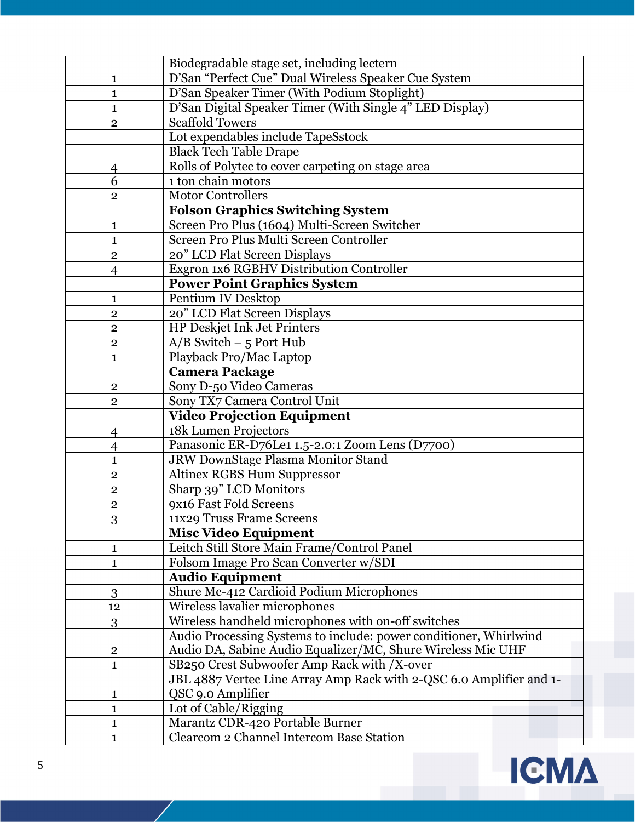| D'San "Perfect Cue" Dual Wireless Speaker Cue System<br>1<br>D'San Speaker Timer (With Podium Stoplight)<br>1<br>D'San Digital Speaker Timer (With Single 4" LED Display)<br>1<br><b>Scaffold Towers</b><br>$\overline{2}$<br>Lot expendables include TapeSstock<br><b>Black Tech Table Drape</b><br>Rolls of Polytec to cover carpeting on stage area<br>4<br>1 ton chain motors<br>6<br><b>Motor Controllers</b><br>$\overline{2}$<br><b>Folson Graphics Switching System</b><br>Screen Pro Plus (1604) Multi-Screen Switcher<br>1<br>Screen Pro Plus Multi Screen Controller<br>1<br>20" LCD Flat Screen Displays<br>$\overline{2}$<br>Exgron 1x6 RGBHV Distribution Controller<br>$\overline{4}$<br><b>Power Point Graphics System</b><br>Pentium IV Desktop<br>1<br>20" LCD Flat Screen Displays<br>$\overline{2}$<br>HP Deskjet Ink Jet Printers<br>$\overline{2}$<br>$A/B$ Switch – 5 Port Hub<br>$\overline{2}$<br>Playback Pro/Mac Laptop<br>1<br><b>Camera Package</b><br>Sony D-50 Video Cameras<br>$\mathbf{2}$<br>Sony TX7 Camera Control Unit<br>$\overline{2}$<br><b>Video Projection Equipment</b><br>18k Lumen Projectors<br>$\overline{4}$<br>Panasonic ER-D76Le1 1.5-2.0:1 Zoom Lens (D7700)<br>$\overline{4}$<br>JRW DownStage Plasma Monitor Stand<br>1<br>Altinex RGBS Hum Suppressor<br>$\overline{2}$<br>Sharp 39" LCD Monitors<br>$\overline{2}$<br>9x16 Fast Fold Screens<br>$\overline{2}$<br>11x29 Truss Frame Screens<br>3<br><b>Misc Video Equipment</b><br>Leitch Still Store Main Frame/Control Panel<br>1<br>Folsom Image Pro Scan Converter w/SDI<br>1<br><b>Audio Equipment</b><br>Shure Mc-412 Cardioid Podium Microphones<br>3<br>Wireless lavalier microphones<br>12<br>Wireless handheld microphones with on-off switches<br>3<br>Audio Processing Systems to include: power conditioner, Whirlwind<br>Audio DA, Sabine Audio Equalizer/MC, Shure Wireless Mic UHF<br>$\overline{2}$<br>SB250 Crest Subwoofer Amp Rack with /X-over<br>1 |   | Biodegradable stage set, including lectern |
|---------------------------------------------------------------------------------------------------------------------------------------------------------------------------------------------------------------------------------------------------------------------------------------------------------------------------------------------------------------------------------------------------------------------------------------------------------------------------------------------------------------------------------------------------------------------------------------------------------------------------------------------------------------------------------------------------------------------------------------------------------------------------------------------------------------------------------------------------------------------------------------------------------------------------------------------------------------------------------------------------------------------------------------------------------------------------------------------------------------------------------------------------------------------------------------------------------------------------------------------------------------------------------------------------------------------------------------------------------------------------------------------------------------------------------------------------------------------------------------------------------------------------------------------------------------------------------------------------------------------------------------------------------------------------------------------------------------------------------------------------------------------------------------------------------------------------------------------------------------------------------------------------------------------------------------------------------------------------------|---|--------------------------------------------|
|                                                                                                                                                                                                                                                                                                                                                                                                                                                                                                                                                                                                                                                                                                                                                                                                                                                                                                                                                                                                                                                                                                                                                                                                                                                                                                                                                                                                                                                                                                                                                                                                                                                                                                                                                                                                                                                                                                                                                                                 |   |                                            |
|                                                                                                                                                                                                                                                                                                                                                                                                                                                                                                                                                                                                                                                                                                                                                                                                                                                                                                                                                                                                                                                                                                                                                                                                                                                                                                                                                                                                                                                                                                                                                                                                                                                                                                                                                                                                                                                                                                                                                                                 |   |                                            |
|                                                                                                                                                                                                                                                                                                                                                                                                                                                                                                                                                                                                                                                                                                                                                                                                                                                                                                                                                                                                                                                                                                                                                                                                                                                                                                                                                                                                                                                                                                                                                                                                                                                                                                                                                                                                                                                                                                                                                                                 |   |                                            |
|                                                                                                                                                                                                                                                                                                                                                                                                                                                                                                                                                                                                                                                                                                                                                                                                                                                                                                                                                                                                                                                                                                                                                                                                                                                                                                                                                                                                                                                                                                                                                                                                                                                                                                                                                                                                                                                                                                                                                                                 |   |                                            |
|                                                                                                                                                                                                                                                                                                                                                                                                                                                                                                                                                                                                                                                                                                                                                                                                                                                                                                                                                                                                                                                                                                                                                                                                                                                                                                                                                                                                                                                                                                                                                                                                                                                                                                                                                                                                                                                                                                                                                                                 |   |                                            |
|                                                                                                                                                                                                                                                                                                                                                                                                                                                                                                                                                                                                                                                                                                                                                                                                                                                                                                                                                                                                                                                                                                                                                                                                                                                                                                                                                                                                                                                                                                                                                                                                                                                                                                                                                                                                                                                                                                                                                                                 |   |                                            |
|                                                                                                                                                                                                                                                                                                                                                                                                                                                                                                                                                                                                                                                                                                                                                                                                                                                                                                                                                                                                                                                                                                                                                                                                                                                                                                                                                                                                                                                                                                                                                                                                                                                                                                                                                                                                                                                                                                                                                                                 |   |                                            |
|                                                                                                                                                                                                                                                                                                                                                                                                                                                                                                                                                                                                                                                                                                                                                                                                                                                                                                                                                                                                                                                                                                                                                                                                                                                                                                                                                                                                                                                                                                                                                                                                                                                                                                                                                                                                                                                                                                                                                                                 |   |                                            |
|                                                                                                                                                                                                                                                                                                                                                                                                                                                                                                                                                                                                                                                                                                                                                                                                                                                                                                                                                                                                                                                                                                                                                                                                                                                                                                                                                                                                                                                                                                                                                                                                                                                                                                                                                                                                                                                                                                                                                                                 |   |                                            |
|                                                                                                                                                                                                                                                                                                                                                                                                                                                                                                                                                                                                                                                                                                                                                                                                                                                                                                                                                                                                                                                                                                                                                                                                                                                                                                                                                                                                                                                                                                                                                                                                                                                                                                                                                                                                                                                                                                                                                                                 |   |                                            |
|                                                                                                                                                                                                                                                                                                                                                                                                                                                                                                                                                                                                                                                                                                                                                                                                                                                                                                                                                                                                                                                                                                                                                                                                                                                                                                                                                                                                                                                                                                                                                                                                                                                                                                                                                                                                                                                                                                                                                                                 |   |                                            |
|                                                                                                                                                                                                                                                                                                                                                                                                                                                                                                                                                                                                                                                                                                                                                                                                                                                                                                                                                                                                                                                                                                                                                                                                                                                                                                                                                                                                                                                                                                                                                                                                                                                                                                                                                                                                                                                                                                                                                                                 |   |                                            |
|                                                                                                                                                                                                                                                                                                                                                                                                                                                                                                                                                                                                                                                                                                                                                                                                                                                                                                                                                                                                                                                                                                                                                                                                                                                                                                                                                                                                                                                                                                                                                                                                                                                                                                                                                                                                                                                                                                                                                                                 |   |                                            |
|                                                                                                                                                                                                                                                                                                                                                                                                                                                                                                                                                                                                                                                                                                                                                                                                                                                                                                                                                                                                                                                                                                                                                                                                                                                                                                                                                                                                                                                                                                                                                                                                                                                                                                                                                                                                                                                                                                                                                                                 |   |                                            |
|                                                                                                                                                                                                                                                                                                                                                                                                                                                                                                                                                                                                                                                                                                                                                                                                                                                                                                                                                                                                                                                                                                                                                                                                                                                                                                                                                                                                                                                                                                                                                                                                                                                                                                                                                                                                                                                                                                                                                                                 |   |                                            |
|                                                                                                                                                                                                                                                                                                                                                                                                                                                                                                                                                                                                                                                                                                                                                                                                                                                                                                                                                                                                                                                                                                                                                                                                                                                                                                                                                                                                                                                                                                                                                                                                                                                                                                                                                                                                                                                                                                                                                                                 |   |                                            |
|                                                                                                                                                                                                                                                                                                                                                                                                                                                                                                                                                                                                                                                                                                                                                                                                                                                                                                                                                                                                                                                                                                                                                                                                                                                                                                                                                                                                                                                                                                                                                                                                                                                                                                                                                                                                                                                                                                                                                                                 |   |                                            |
|                                                                                                                                                                                                                                                                                                                                                                                                                                                                                                                                                                                                                                                                                                                                                                                                                                                                                                                                                                                                                                                                                                                                                                                                                                                                                                                                                                                                                                                                                                                                                                                                                                                                                                                                                                                                                                                                                                                                                                                 |   |                                            |
|                                                                                                                                                                                                                                                                                                                                                                                                                                                                                                                                                                                                                                                                                                                                                                                                                                                                                                                                                                                                                                                                                                                                                                                                                                                                                                                                                                                                                                                                                                                                                                                                                                                                                                                                                                                                                                                                                                                                                                                 |   |                                            |
|                                                                                                                                                                                                                                                                                                                                                                                                                                                                                                                                                                                                                                                                                                                                                                                                                                                                                                                                                                                                                                                                                                                                                                                                                                                                                                                                                                                                                                                                                                                                                                                                                                                                                                                                                                                                                                                                                                                                                                                 |   |                                            |
|                                                                                                                                                                                                                                                                                                                                                                                                                                                                                                                                                                                                                                                                                                                                                                                                                                                                                                                                                                                                                                                                                                                                                                                                                                                                                                                                                                                                                                                                                                                                                                                                                                                                                                                                                                                                                                                                                                                                                                                 |   |                                            |
|                                                                                                                                                                                                                                                                                                                                                                                                                                                                                                                                                                                                                                                                                                                                                                                                                                                                                                                                                                                                                                                                                                                                                                                                                                                                                                                                                                                                                                                                                                                                                                                                                                                                                                                                                                                                                                                                                                                                                                                 |   |                                            |
|                                                                                                                                                                                                                                                                                                                                                                                                                                                                                                                                                                                                                                                                                                                                                                                                                                                                                                                                                                                                                                                                                                                                                                                                                                                                                                                                                                                                                                                                                                                                                                                                                                                                                                                                                                                                                                                                                                                                                                                 |   |                                            |
|                                                                                                                                                                                                                                                                                                                                                                                                                                                                                                                                                                                                                                                                                                                                                                                                                                                                                                                                                                                                                                                                                                                                                                                                                                                                                                                                                                                                                                                                                                                                                                                                                                                                                                                                                                                                                                                                                                                                                                                 |   |                                            |
|                                                                                                                                                                                                                                                                                                                                                                                                                                                                                                                                                                                                                                                                                                                                                                                                                                                                                                                                                                                                                                                                                                                                                                                                                                                                                                                                                                                                                                                                                                                                                                                                                                                                                                                                                                                                                                                                                                                                                                                 |   |                                            |
|                                                                                                                                                                                                                                                                                                                                                                                                                                                                                                                                                                                                                                                                                                                                                                                                                                                                                                                                                                                                                                                                                                                                                                                                                                                                                                                                                                                                                                                                                                                                                                                                                                                                                                                                                                                                                                                                                                                                                                                 |   |                                            |
|                                                                                                                                                                                                                                                                                                                                                                                                                                                                                                                                                                                                                                                                                                                                                                                                                                                                                                                                                                                                                                                                                                                                                                                                                                                                                                                                                                                                                                                                                                                                                                                                                                                                                                                                                                                                                                                                                                                                                                                 |   |                                            |
|                                                                                                                                                                                                                                                                                                                                                                                                                                                                                                                                                                                                                                                                                                                                                                                                                                                                                                                                                                                                                                                                                                                                                                                                                                                                                                                                                                                                                                                                                                                                                                                                                                                                                                                                                                                                                                                                                                                                                                                 |   |                                            |
|                                                                                                                                                                                                                                                                                                                                                                                                                                                                                                                                                                                                                                                                                                                                                                                                                                                                                                                                                                                                                                                                                                                                                                                                                                                                                                                                                                                                                                                                                                                                                                                                                                                                                                                                                                                                                                                                                                                                                                                 |   |                                            |
|                                                                                                                                                                                                                                                                                                                                                                                                                                                                                                                                                                                                                                                                                                                                                                                                                                                                                                                                                                                                                                                                                                                                                                                                                                                                                                                                                                                                                                                                                                                                                                                                                                                                                                                                                                                                                                                                                                                                                                                 |   |                                            |
|                                                                                                                                                                                                                                                                                                                                                                                                                                                                                                                                                                                                                                                                                                                                                                                                                                                                                                                                                                                                                                                                                                                                                                                                                                                                                                                                                                                                                                                                                                                                                                                                                                                                                                                                                                                                                                                                                                                                                                                 |   |                                            |
|                                                                                                                                                                                                                                                                                                                                                                                                                                                                                                                                                                                                                                                                                                                                                                                                                                                                                                                                                                                                                                                                                                                                                                                                                                                                                                                                                                                                                                                                                                                                                                                                                                                                                                                                                                                                                                                                                                                                                                                 |   |                                            |
|                                                                                                                                                                                                                                                                                                                                                                                                                                                                                                                                                                                                                                                                                                                                                                                                                                                                                                                                                                                                                                                                                                                                                                                                                                                                                                                                                                                                                                                                                                                                                                                                                                                                                                                                                                                                                                                                                                                                                                                 |   |                                            |
|                                                                                                                                                                                                                                                                                                                                                                                                                                                                                                                                                                                                                                                                                                                                                                                                                                                                                                                                                                                                                                                                                                                                                                                                                                                                                                                                                                                                                                                                                                                                                                                                                                                                                                                                                                                                                                                                                                                                                                                 |   |                                            |
|                                                                                                                                                                                                                                                                                                                                                                                                                                                                                                                                                                                                                                                                                                                                                                                                                                                                                                                                                                                                                                                                                                                                                                                                                                                                                                                                                                                                                                                                                                                                                                                                                                                                                                                                                                                                                                                                                                                                                                                 |   |                                            |
|                                                                                                                                                                                                                                                                                                                                                                                                                                                                                                                                                                                                                                                                                                                                                                                                                                                                                                                                                                                                                                                                                                                                                                                                                                                                                                                                                                                                                                                                                                                                                                                                                                                                                                                                                                                                                                                                                                                                                                                 |   |                                            |
|                                                                                                                                                                                                                                                                                                                                                                                                                                                                                                                                                                                                                                                                                                                                                                                                                                                                                                                                                                                                                                                                                                                                                                                                                                                                                                                                                                                                                                                                                                                                                                                                                                                                                                                                                                                                                                                                                                                                                                                 |   |                                            |
|                                                                                                                                                                                                                                                                                                                                                                                                                                                                                                                                                                                                                                                                                                                                                                                                                                                                                                                                                                                                                                                                                                                                                                                                                                                                                                                                                                                                                                                                                                                                                                                                                                                                                                                                                                                                                                                                                                                                                                                 |   |                                            |
|                                                                                                                                                                                                                                                                                                                                                                                                                                                                                                                                                                                                                                                                                                                                                                                                                                                                                                                                                                                                                                                                                                                                                                                                                                                                                                                                                                                                                                                                                                                                                                                                                                                                                                                                                                                                                                                                                                                                                                                 |   |                                            |
|                                                                                                                                                                                                                                                                                                                                                                                                                                                                                                                                                                                                                                                                                                                                                                                                                                                                                                                                                                                                                                                                                                                                                                                                                                                                                                                                                                                                                                                                                                                                                                                                                                                                                                                                                                                                                                                                                                                                                                                 |   |                                            |
| JBL 4887 Vertec Line Array Amp Rack with 2-QSC 6.0 Amplifier and 1-                                                                                                                                                                                                                                                                                                                                                                                                                                                                                                                                                                                                                                                                                                                                                                                                                                                                                                                                                                                                                                                                                                                                                                                                                                                                                                                                                                                                                                                                                                                                                                                                                                                                                                                                                                                                                                                                                                             |   |                                            |
| QSC 9.0 Amplifier<br>1                                                                                                                                                                                                                                                                                                                                                                                                                                                                                                                                                                                                                                                                                                                                                                                                                                                                                                                                                                                                                                                                                                                                                                                                                                                                                                                                                                                                                                                                                                                                                                                                                                                                                                                                                                                                                                                                                                                                                          |   |                                            |
| Lot of Cable/Rigging<br>1                                                                                                                                                                                                                                                                                                                                                                                                                                                                                                                                                                                                                                                                                                                                                                                                                                                                                                                                                                                                                                                                                                                                                                                                                                                                                                                                                                                                                                                                                                                                                                                                                                                                                                                                                                                                                                                                                                                                                       |   |                                            |
|                                                                                                                                                                                                                                                                                                                                                                                                                                                                                                                                                                                                                                                                                                                                                                                                                                                                                                                                                                                                                                                                                                                                                                                                                                                                                                                                                                                                                                                                                                                                                                                                                                                                                                                                                                                                                                                                                                                                                                                 | 1 | Marantz CDR-420 Portable Burner            |
|                                                                                                                                                                                                                                                                                                                                                                                                                                                                                                                                                                                                                                                                                                                                                                                                                                                                                                                                                                                                                                                                                                                                                                                                                                                                                                                                                                                                                                                                                                                                                                                                                                                                                                                                                                                                                                                                                                                                                                                 | 1 |                                            |
|                                                                                                                                                                                                                                                                                                                                                                                                                                                                                                                                                                                                                                                                                                                                                                                                                                                                                                                                                                                                                                                                                                                                                                                                                                                                                                                                                                                                                                                                                                                                                                                                                                                                                                                                                                                                                                                                                                                                                                                 |   | Clearcom 2 Channel Intercom Base Station   |

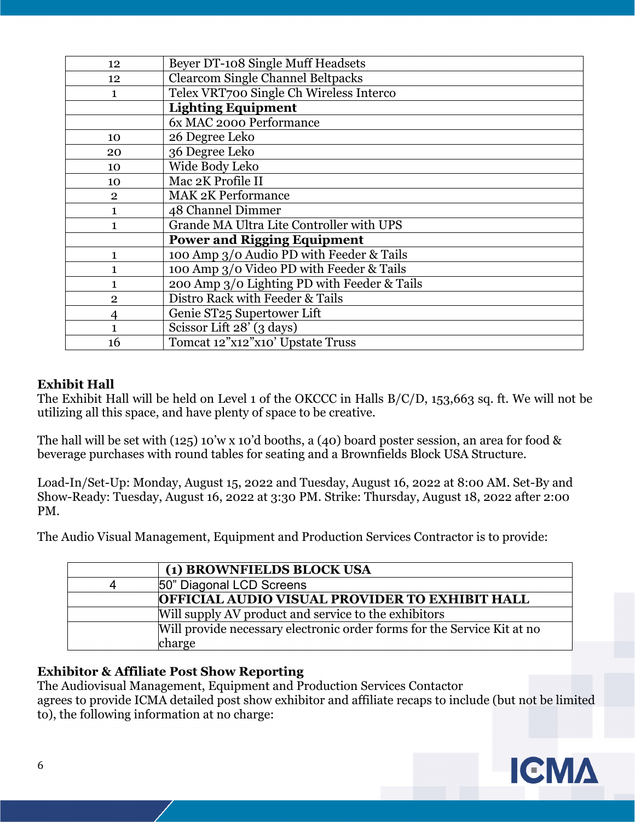| 12             | Beyer DT-108 Single Muff Headsets           |
|----------------|---------------------------------------------|
| 12             | <b>Clearcom Single Channel Beltpacks</b>    |
| 1              | Telex VRT700 Single Ch Wireless Interco     |
|                | <b>Lighting Equipment</b>                   |
|                | 6x MAC 2000 Performance                     |
| 10             | 26 Degree Leko                              |
| 20             | 36 Degree Leko                              |
| 10             | Wide Body Leko                              |
| 10             | Mac 2K Profile II                           |
| $\overline{2}$ | <b>MAK 2K Performance</b>                   |
| 1              | 48 Channel Dimmer                           |
| 1              | Grande MA Ultra Lite Controller with UPS    |
|                | <b>Power and Rigging Equipment</b>          |
| $\mathbf{1}$   | 100 Amp 3/0 Audio PD with Feeder & Tails    |
| $\mathbf{1}$   | 100 Amp 3/0 Video PD with Feeder & Tails    |
| 1              | 200 Amp 3/0 Lighting PD with Feeder & Tails |
| $\overline{2}$ | Distro Rack with Feeder & Tails             |
| 4              | Genie ST25 Supertower Lift                  |
|                | Scissor Lift 28' (3 days)                   |
| 16             | Tomcat 12"x12"x10' Upstate Truss            |

### **Exhibit Hall**

The Exhibit Hall will be held on Level 1 of the OKCCC in Halls B/C/D, 153,663 sq. ft. We will not be utilizing all this space, and have plenty of space to be creative.

The hall will be set with (125) 10'w x 10'd booths, a (40) board poster session, an area for food & beverage purchases with round tables for seating and a Brownfields Block USA Structure.

Load-In/Set-Up: Monday, August 15, 2022 and Tuesday, August 16, 2022 at 8:00 AM. Set-By and Show-Ready: Tuesday, August 16, 2022 at 3:30 PM. Strike: Thursday, August 18, 2022 after 2:00 PM.

The Audio Visual Management, Equipment and Production Services Contractor is to provide:

|   | (1) BROWNFIELDS BLOCK USA                                               |
|---|-------------------------------------------------------------------------|
| 4 | 50" Diagonal LCD Screens                                                |
|   | OFFICIAL AUDIO VISUAL PROVIDER TO EXHIBIT HALL                          |
|   | Will supply AV product and service to the exhibitors                    |
|   | Will provide necessary electronic order forms for the Service Kit at no |
|   | charge                                                                  |

#### **Exhibitor & Affiliate Post Show Reporting**

The Audiovisual Management, Equipment and Production Services Contactor agrees to provide ICMA detailed post show exhibitor and affiliate recaps to include (but not be limited to), the following information at no charge:

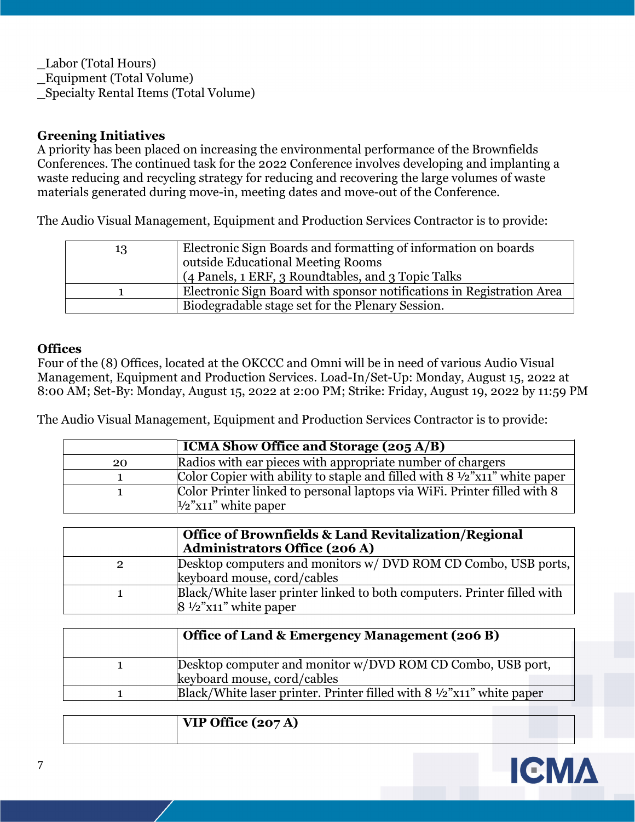\_Labor (Total Hours) \_Equipment (Total Volume) \_Specialty Rental Items (Total Volume)

#### **Greening Initiatives**

A priority has been placed on increasing the environmental performance of the Brownfields Conferences. The continued task for the 2022 Conference involves developing and implanting a waste reducing and recycling strategy for reducing and recovering the large volumes of waste materials generated during move-in, meeting dates and move-out of the Conference.

The Audio Visual Management, Equipment and Production Services Contractor is to provide:

| 13 | Electronic Sign Boards and formatting of information on boards        |
|----|-----------------------------------------------------------------------|
|    | outside Educational Meeting Rooms                                     |
|    | (4 Panels, 1 ERF, 3 Roundtables, and 3 Topic Talks                    |
|    | Electronic Sign Board with sponsor notifications in Registration Area |
|    | Biodegradable stage set for the Plenary Session.                      |

#### **Offices**

Four of the (8) Offices, located at the OKCCC and Omni will be in need of various Audio Visual Management, Equipment and Production Services. Load-In/Set-Up: Monday, August 15, 2022 at 8:00 AM; Set-By: Monday, August 15, 2022 at 2:00 PM; Strike: Friday, August 19, 2022 by 11:59 PM

The Audio Visual Management, Equipment and Production Services Contractor is to provide:

|    | $\overline{\text{ICMA Show}}$ Office and Storage (205 A/B)                           |
|----|--------------------------------------------------------------------------------------|
| 20 | Radios with ear pieces with appropriate number of chargers                           |
|    | Color Copier with ability to staple and filled with $8\frac{1}{2}$ "x11" white paper |
|    | Color Printer linked to personal laptops via WiFi. Printer filled with 8             |
|    | $\frac{1}{2}$ "x11" white paper                                                      |

|                | <b>Office of Brownfields &amp; Land Revitalization/Regional</b><br><b>Administrators Office (206 A)</b>     |
|----------------|-------------------------------------------------------------------------------------------------------------|
| $\overline{2}$ | Desktop computers and monitors w/ DVD ROM CD Combo, USB ports,<br>keyboard mouse, cord/cables               |
|                | Black/White laser printer linked to both computers. Printer filled with<br>$8\frac{1}{2}$ "x11" white paper |

| Office of Land & Emergency Management (206 B)                                   |
|---------------------------------------------------------------------------------|
| Desktop computer and monitor w/DVD ROM CD Combo, USB port,                      |
| keyboard mouse, cord/cables                                                     |
| Black/White laser printer. Printer filled with $8\frac{1}{2}$ "x11" white paper |

|  | $^{\dagger}$ VIP Office (207 A) |  |
|--|---------------------------------|--|
|--|---------------------------------|--|

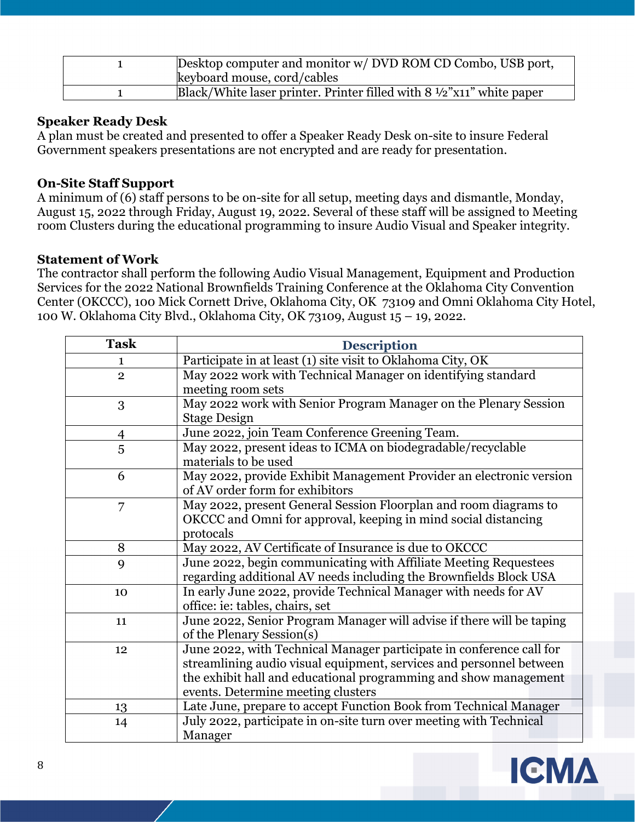| Desktop computer and monitor w/ DVD ROM CD Combo, USB port,<br>keyboard mouse, cord/cables |
|--------------------------------------------------------------------------------------------|
| Black/White laser printer. Printer filled with $8\frac{1}{2}$ "x11" white paper            |

#### **Speaker Ready Desk**

A plan must be created and presented to offer a Speaker Ready Desk on-site to insure Federal Government speakers presentations are not encrypted and are ready for presentation.

#### **On-Site Staff Support**

A minimum of (6) staff persons to be on-site for all setup, meeting days and dismantle, Monday, August 15, 2022 through Friday, August 19, 2022. Several of these staff will be assigned to Meeting room Clusters during the educational programming to insure Audio Visual and Speaker integrity.

#### **Statement of Work**

The contractor shall perform the following Audio Visual Management, Equipment and Production Services for the 2022 National Brownfields Training Conference at the Oklahoma City Convention Center (OKCCC), 100 Mick Cornett Drive, Oklahoma City, OK 73109 and Omni Oklahoma City Hotel, 100 W. Oklahoma City Blvd., Oklahoma City, OK 73109, August 15 – 19, 2022.

| <b>Task</b>  | <b>Description</b>                                                    |
|--------------|-----------------------------------------------------------------------|
| 1            | Participate in at least (1) site visit to Oklahoma City, OK           |
| $\mathbf{2}$ | May 2022 work with Technical Manager on identifying standard          |
|              | meeting room sets                                                     |
| 3            | May 2022 work with Senior Program Manager on the Plenary Session      |
|              | <b>Stage Design</b>                                                   |
| 4            | June 2022, join Team Conference Greening Team.                        |
| 5            | May 2022, present ideas to ICMA on biodegradable/recyclable           |
|              | materials to be used                                                  |
| 6            | May 2022, provide Exhibit Management Provider an electronic version   |
|              | of AV order form for exhibitors                                       |
| 7            | May 2022, present General Session Floorplan and room diagrams to      |
|              | OKCCC and Omni for approval, keeping in mind social distancing        |
|              | protocals                                                             |
| 8            | May 2022, AV Certificate of Insurance is due to OKCCC                 |
| 9            | June 2022, begin communicating with Affiliate Meeting Requestees      |
|              | regarding additional AV needs including the Brownfields Block USA     |
| 10           | In early June 2022, provide Technical Manager with needs for AV       |
|              | office: ie: tables, chairs, set                                       |
| 11           | June 2022, Senior Program Manager will advise if there will be taping |
|              | of the Plenary Session(s)                                             |
| 12           | June 2022, with Technical Manager participate in conference call for  |
|              | streamlining audio visual equipment, services and personnel between   |
|              | the exhibit hall and educational programming and show management      |
|              | events. Determine meeting clusters                                    |
| 13           | Late June, prepare to accept Function Book from Technical Manager     |
| 14           | July 2022, participate in on-site turn over meeting with Technical    |
|              | Manager                                                               |

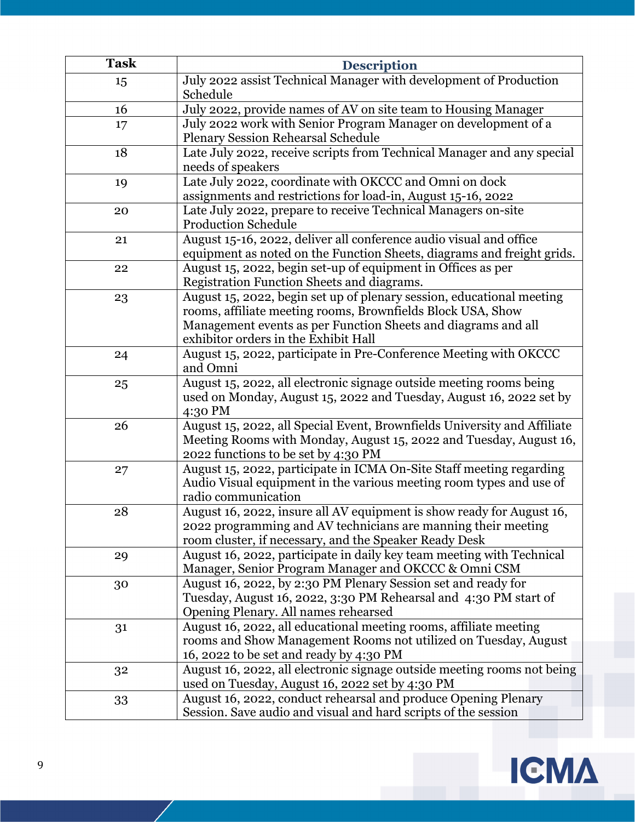| <b>Task</b> | <b>Description</b>                                                                                                                                                                                                                            |
|-------------|-----------------------------------------------------------------------------------------------------------------------------------------------------------------------------------------------------------------------------------------------|
| 15          | July 2022 assist Technical Manager with development of Production<br>Schedule                                                                                                                                                                 |
| 16          | July 2022, provide names of AV on site team to Housing Manager                                                                                                                                                                                |
| 17          | July 2022 work with Senior Program Manager on development of a<br><b>Plenary Session Rehearsal Schedule</b>                                                                                                                                   |
| 18          | Late July 2022, receive scripts from Technical Manager and any special<br>needs of speakers                                                                                                                                                   |
| 19          | Late July 2022, coordinate with OKCCC and Omni on dock<br>assignments and restrictions for load-in, August 15-16, 2022                                                                                                                        |
| 20          | Late July 2022, prepare to receive Technical Managers on-site<br><b>Production Schedule</b>                                                                                                                                                   |
| 21          | August 15-16, 2022, deliver all conference audio visual and office<br>equipment as noted on the Function Sheets, diagrams and freight grids.                                                                                                  |
| 22          | August 15, 2022, begin set-up of equipment in Offices as per<br>Registration Function Sheets and diagrams.                                                                                                                                    |
| 23          | August 15, 2022, begin set up of plenary session, educational meeting<br>rooms, affiliate meeting rooms, Brownfields Block USA, Show<br>Management events as per Function Sheets and diagrams and all<br>exhibitor orders in the Exhibit Hall |
| 24          | August 15, 2022, participate in Pre-Conference Meeting with OKCCC<br>and Omni                                                                                                                                                                 |
| 25          | August 15, 2022, all electronic signage outside meeting rooms being<br>used on Monday, August 15, 2022 and Tuesday, August 16, 2022 set by<br>4:30 PM                                                                                         |
| 26          | August 15, 2022, all Special Event, Brownfields University and Affiliate<br>Meeting Rooms with Monday, August 15, 2022 and Tuesday, August 16,<br>2022 functions to be set by 4:30 PM                                                         |
| 27          | August 15, 2022, participate in ICMA On-Site Staff meeting regarding<br>Audio Visual equipment in the various meeting room types and use of<br>radio communication                                                                            |
| 28          | August 16, 2022, insure all AV equipment is show ready for August 16,<br>2022 programming and AV technicians are manning their meeting<br>room cluster, if necessary, and the Speaker Ready Desk                                              |
| 29          | August 16, 2022, participate in daily key team meeting with Technical<br>Manager, Senior Program Manager and OKCCC & Omni CSM                                                                                                                 |
| 30          | August 16, 2022, by 2:30 PM Plenary Session set and ready for<br>Tuesday, August 16, 2022, 3:30 PM Rehearsal and 4:30 PM start of<br>Opening Plenary. All names rehearsed                                                                     |
| 31          | August 16, 2022, all educational meeting rooms, affiliate meeting<br>rooms and Show Management Rooms not utilized on Tuesday, August<br>16, 2022 to be set and ready by 4:30 PM                                                               |
| 32          | August 16, 2022, all electronic signage outside meeting rooms not being<br>used on Tuesday, August 16, 2022 set by 4:30 PM                                                                                                                    |
| 33          | August 16, 2022, conduct rehearsal and produce Opening Plenary<br>Session. Save audio and visual and hard scripts of the session                                                                                                              |

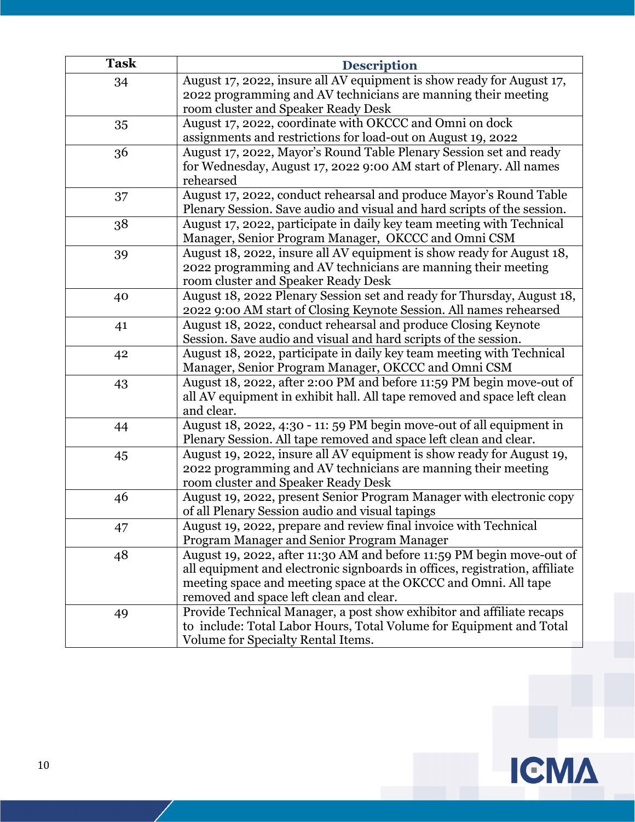| <b>Task</b> | <b>Description</b>                                                                                                                                                                                                                                                 |
|-------------|--------------------------------------------------------------------------------------------------------------------------------------------------------------------------------------------------------------------------------------------------------------------|
| 34          | August 17, 2022, insure all AV equipment is show ready for August 17,<br>2022 programming and AV technicians are manning their meeting<br>room cluster and Speaker Ready Desk                                                                                      |
| 35          | August 17, 2022, coordinate with OKCCC and Omni on dock<br>assignments and restrictions for load-out on August 19, 2022                                                                                                                                            |
| 36          | August 17, 2022, Mayor's Round Table Plenary Session set and ready<br>for Wednesday, August 17, 2022 9:00 AM start of Plenary. All names<br>rehearsed                                                                                                              |
| 37          | August 17, 2022, conduct rehearsal and produce Mayor's Round Table<br>Plenary Session. Save audio and visual and hard scripts of the session.                                                                                                                      |
| 38          | August 17, 2022, participate in daily key team meeting with Technical<br>Manager, Senior Program Manager, OKCCC and Omni CSM                                                                                                                                       |
| 39          | August 18, 2022, insure all AV equipment is show ready for August 18,<br>2022 programming and AV technicians are manning their meeting<br>room cluster and Speaker Ready Desk                                                                                      |
| 40          | August 18, 2022 Plenary Session set and ready for Thursday, August 18,<br>2022 9:00 AM start of Closing Keynote Session. All names rehearsed                                                                                                                       |
| 41          | August 18, 2022, conduct rehearsal and produce Closing Keynote<br>Session. Save audio and visual and hard scripts of the session.                                                                                                                                  |
| 42          | August 18, 2022, participate in daily key team meeting with Technical<br>Manager, Senior Program Manager, OKCCC and Omni CSM                                                                                                                                       |
| 43          | August 18, 2022, after 2:00 PM and before 11:59 PM begin move-out of<br>all AV equipment in exhibit hall. All tape removed and space left clean<br>and clear.                                                                                                      |
| 44          | August 18, 2022, 4:30 - 11: 59 PM begin move-out of all equipment in<br>Plenary Session. All tape removed and space left clean and clear.                                                                                                                          |
| 45          | August 19, 2022, insure all AV equipment is show ready for August 19,<br>2022 programming and AV technicians are manning their meeting<br>room cluster and Speaker Ready Desk                                                                                      |
| 46          | August 19, 2022, present Senior Program Manager with electronic copy<br>of all Plenary Session audio and visual tapings                                                                                                                                            |
| 47          | August 19, 2022, prepare and review final invoice with Technical<br>Program Manager and Senior Program Manager                                                                                                                                                     |
| 48          | August 19, 2022, after 11:30 AM and before 11:59 PM begin move-out of<br>all equipment and electronic signboards in offices, registration, affiliate<br>meeting space and meeting space at the OKCCC and Omni. All tape<br>removed and space left clean and clear. |
| 49          | Provide Technical Manager, a post show exhibitor and affiliate recaps<br>to include: Total Labor Hours, Total Volume for Equipment and Total<br>Volume for Specialty Rental Items.                                                                                 |

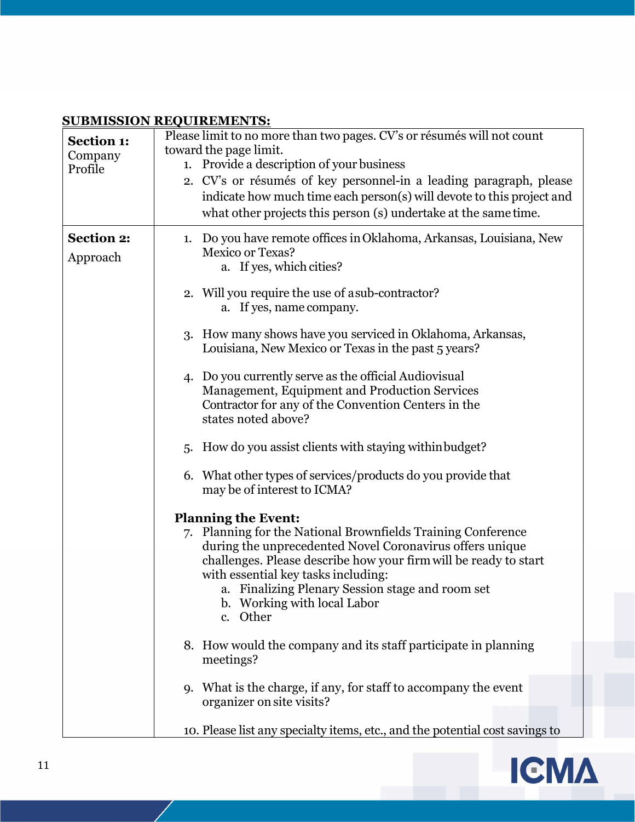#### **SUBMISSION REQUIREMENTS:**

| ,,,,,,,,,,,       | Y CAAMAHAAA LOO                                                              |
|-------------------|------------------------------------------------------------------------------|
| <b>Section 1:</b> | Please limit to no more than two pages. CV's or résumés will not count       |
| Company           | toward the page limit.                                                       |
| Profile           | 1. Provide a description of your business                                    |
|                   | 2. CV's or résumés of key personnel-in a leading paragraph, please           |
|                   | indicate how much time each person(s) will devote to this project and        |
|                   | what other projects this person (s) undertake at the same time.              |
|                   |                                                                              |
| <b>Section 2:</b> | 1. Do you have remote offices in Oklahoma, Arkansas, Louisiana, New          |
| Approach          | Mexico or Texas?                                                             |
|                   | a. If yes, which cities?                                                     |
|                   |                                                                              |
|                   | 2. Will you require the use of a sub-contractor?                             |
|                   | a. If yes, name company.                                                     |
|                   |                                                                              |
|                   | 3. How many shows have you serviced in Oklahoma, Arkansas,                   |
|                   | Louisiana, New Mexico or Texas in the past 5 years?                          |
|                   | 4. Do you currently serve as the official Audiovisual                        |
|                   |                                                                              |
|                   | Management, Equipment and Production Services                                |
|                   | Contractor for any of the Convention Centers in the<br>states noted above?   |
|                   |                                                                              |
|                   | How do you assist clients with staying within budget?<br>5.                  |
|                   |                                                                              |
|                   | 6. What other types of services/products do you provide that                 |
|                   | may be of interest to ICMA?                                                  |
|                   |                                                                              |
|                   | <b>Planning the Event:</b>                                                   |
|                   | 7. Planning for the National Brownfields Training Conference                 |
|                   | during the unprecedented Novel Coronavirus offers unique                     |
|                   | challenges. Please describe how your firm will be ready to start             |
|                   | with essential key tasks including:                                          |
|                   | a. Finalizing Plenary Session stage and room set                             |
|                   | b. Working with local Labor                                                  |
|                   | c. Other                                                                     |
|                   |                                                                              |
|                   | 8. How would the company and its staff participate in planning               |
|                   | meetings?                                                                    |
|                   |                                                                              |
|                   | What is the charge, if any, for staff to accompany the event<br><b>q.</b>    |
|                   | organizer on site visits?                                                    |
|                   | 10. Please list any specialty items, etc., and the potential cost savings to |
|                   |                                                                              |

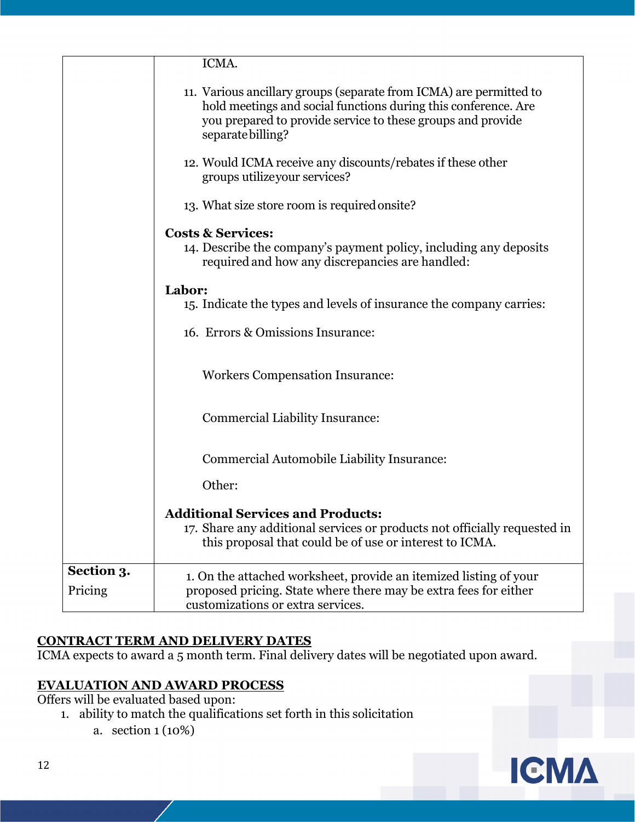|                       | ICMA.                                                                                                                                                                                                                    |
|-----------------------|--------------------------------------------------------------------------------------------------------------------------------------------------------------------------------------------------------------------------|
|                       | 11. Various ancillary groups (separate from ICMA) are permitted to<br>hold meetings and social functions during this conference. Are<br>you prepared to provide service to these groups and provide<br>separate billing? |
|                       | 12. Would ICMA receive any discounts/rebates if these other<br>groups utilizeyour services?                                                                                                                              |
|                       | 13. What size store room is required onsite?                                                                                                                                                                             |
|                       | <b>Costs &amp; Services:</b>                                                                                                                                                                                             |
|                       | 14. Describe the company's payment policy, including any deposits<br>required and how any discrepancies are handled:                                                                                                     |
|                       | Labor:                                                                                                                                                                                                                   |
|                       | 15. Indicate the types and levels of insurance the company carries:                                                                                                                                                      |
|                       | 16. Errors & Omissions Insurance:                                                                                                                                                                                        |
|                       | <b>Workers Compensation Insurance:</b>                                                                                                                                                                                   |
|                       | Commercial Liability Insurance:                                                                                                                                                                                          |
|                       | Commercial Automobile Liability Insurance:                                                                                                                                                                               |
|                       | Other:                                                                                                                                                                                                                   |
|                       | <b>Additional Services and Products:</b><br>17. Share any additional services or products not officially requested in<br>this proposal that could be of use or interest to ICMA.                                         |
| Section 3.<br>Pricing | 1. On the attached worksheet, provide an itemized listing of your<br>proposed pricing. State where there may be extra fees for either<br>customizations or extra services.                                               |

### **CONTRACT TERM AND DELIVERY DATES**

ICMA expects to award a 5 month term. Final delivery dates will be negotiated upon award.

### **EVALUATION AND AWARD PROCESS**

Offers will be evaluated based upon:

- 1. ability to match the qualifications set forth in this solicitation
	- a. section 1 (10%)

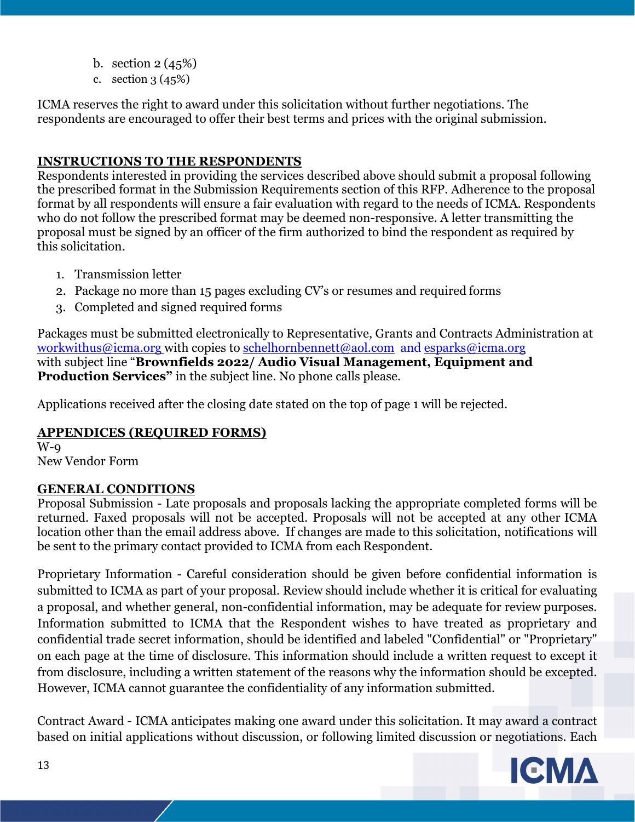- b. section 2 (45%)
- c. section  $3(45%)$

ICMA reserves the right to award under this solicitation without further negotiations. The respondents are encouraged to offer their best terms and prices with the original submission.

### **INSTRUCTIONS TO THE RESPONDENTS**

Respondents interested in providing the services described above should submit a proposal following the prescribed format in the Submission Requirements section of this RFP. Adherence to the proposal format by all respondents will ensure a fair evaluation with regard to the needs of ICMA. Respondents who do not follow the prescribed format may be deemed non-responsive. A letter transmitting the proposal must be signed by an officer of the firm authorized to bind the respondent as required by this solicitation.

- 1. Transmission letter
- 2. Package no more than 15 pages excluding CV's or resumes and required forms
- 3. Completed and signed required forms

Packages must be submitted electronically to Representative, Grants and Contracts Administration at workwithus@icma.org with copies to schelhornbennett@aol.com and esparks@icma.org with subject line "**Brownfields 2022/ Audio Visual Management, Equipment and Production Services**" in the subject line. No phone calls please.

Applications received after the closing date stated on the top of page 1 will be rejected.

### **APPENDICES (REQUIRED FORMS)**

 $W$ - $Q$ New Vendor Form

### **GENERAL CONDITIONS**

Proposal Submission - Late proposals and proposals lacking the appropriate completed forms will be returned. Faxed proposals will not be accepted. Proposals will not be accepted at any other ICMA location other than the email address above. If changes are made to this solicitation, notifications will be sent to the primary contact provided to ICMA from each Respondent.

Proprietary Information - Careful consideration should be given before confidential information is submitted to ICMA as part of your proposal. Review should include whether it is critical for evaluating a proposal, and whether general, non-confidential information, may be adequate for review purposes. Information submitted to ICMA that the Respondent wishes to have treated as proprietary and confidential trade secret information, should be identified and labeled "Confidential" or "Proprietary" on each page at the time of disclosure. This information should include a written request to except it from disclosure, including a written statement of the reasons why the information should be excepted. However, ICMA cannot guarantee the confidentiality of any information submitted.

Contract Award - ICMA anticipates making one award under this solicitation. It may award a contract based on initial applications without discussion, or following limited discussion or negotiations. Each

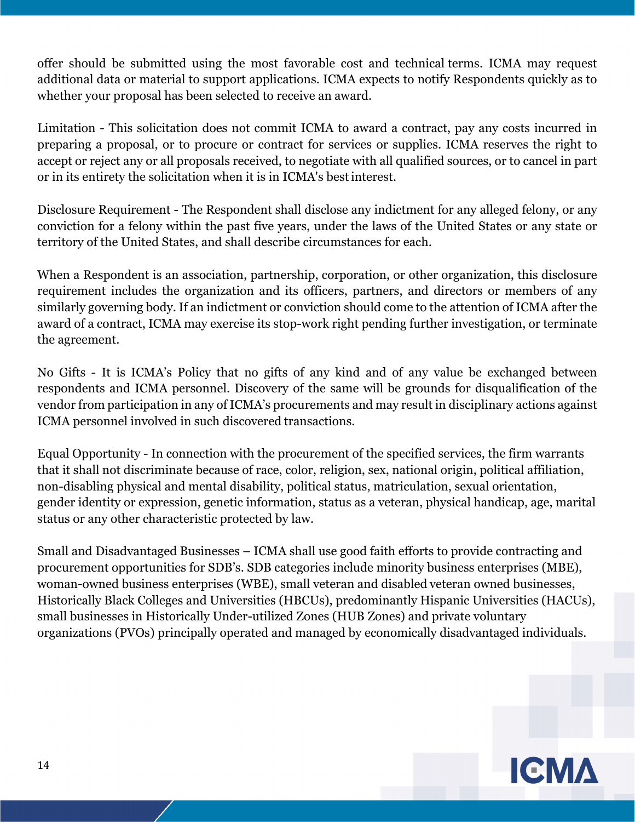offer should be submitted using the most favorable cost and technical terms. ICMA may request additional data or material to support applications. ICMA expects to notify Respondents quickly as to whether your proposal has been selected to receive an award.

Limitation - This solicitation does not commit ICMA to award a contract, pay any costs incurred in preparing a proposal, or to procure or contract for services or supplies. ICMA reserves the right to accept or reject any or all proposals received, to negotiate with all qualified sources, or to cancel in part or in its entirety the solicitation when it is in ICMA's best interest.

Disclosure Requirement - The Respondent shall disclose any indictment for any alleged felony, or any conviction for a felony within the past five years, under the laws of the United States or any state or territory of the United States, and shall describe circumstances for each.

When a Respondent is an association, partnership, corporation, or other organization, this disclosure requirement includes the organization and its officers, partners, and directors or members of any similarly governing body. If an indictment or conviction should come to the attention of ICMA after the award of a contract, ICMA may exercise its stop-work right pending further investigation, or terminate the agreement.

No Gifts - It is ICMA's Policy that no gifts of any kind and of any value be exchanged between respondents and ICMA personnel. Discovery of the same will be grounds for disqualification of the vendor from participation in any of ICMA's procurements and may result in disciplinary actions against ICMA personnel involved in such discovered transactions.

Equal Opportunity - In connection with the procurement of the specified services, the firm warrants that it shall not discriminate because of race, color, religion, sex, national origin, political affiliation, non-disabling physical and mental disability, political status, matriculation, sexual orientation, gender identity or expression, genetic information, status as a veteran, physical handicap, age, marital status or any other characteristic protected by law.

Small and Disadvantaged Businesses – ICMA shall use good faith efforts to provide contracting and procurement opportunities for SDB's. SDB categories include minority business enterprises (MBE), woman-owned business enterprises (WBE), small veteran and disabled veteran owned businesses, Historically Black Colleges and Universities (HBCUs), predominantly Hispanic Universities (HACUs), small businesses in Historically Under-utilized Zones (HUB Zones) and private voluntary organizations (PVOs) principally operated and managed by economically disadvantaged individuals.

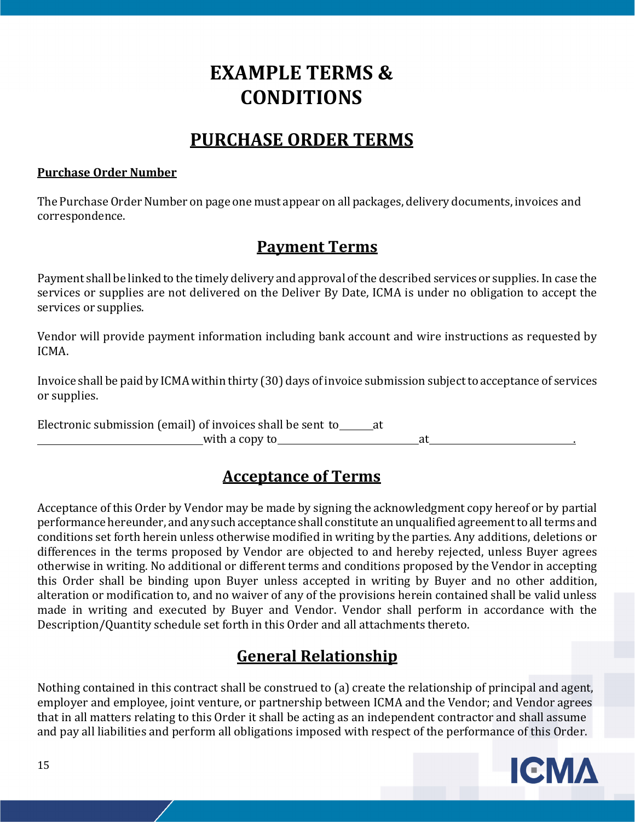# **EXAMPLE TERMS & CONDITIONS**

# **PURCHASE ORDER TERMS**

#### **Purchase Order Number**

The Purchase Order Number on page one must appear on all packages, delivery documents, invoices and correspondence.

### **Payment Terms**

Payment shall be linked to the timely delivery and approval of the described services or supplies. In case the services or supplies are not delivered on the Deliver By Date, ICMA is under no obligation to accept the services or supplies.

Vendor will provide payment information including bank account and wire instructions as requested by ICMA.

Invoice shall be paid by ICMA within thirty (30) days of invoice submission subject to acceptance of services or supplies.

Electronic submission (email) of invoices shall be sent to  $\qquad$  at with a copy to at ...

### **Acceptance of Terms**

Acceptance of this Order by Vendor may be made by signing the acknowledgment copy hereof or by partial performance hereunder, and any such acceptance shall constitute an unqualified agreement to all terms and conditions set forth herein unless otherwise modified in writing by the parties. Any additions, deletions or differences in the terms proposed by Vendor are objected to and hereby rejected, unless Buyer agrees otherwise in writing. No additional or different terms and conditions proposed by the Vendor in accepting this Order shall be binding upon Buyer unless accepted in writing by Buyer and no other addition, alteration or modification to, and no waiver of any of the provisions herein contained shall be valid unless made in writing and executed by Buyer and Vendor. Vendor shall perform in accordance with the Description/Quantity schedule set forth in this Order and all attachments thereto.

### **General Relationship**

Nothing contained in this contract shall be construed to (a) create the relationship of principal and agent, employer and employee, joint venture, or partnership between ICMA and the Vendor; and Vendor agrees that in all matters relating to this Order it shall be acting as an independent contractor and shall assume and pay all liabilities and perform all obligations imposed with respect of the performance of this Order.

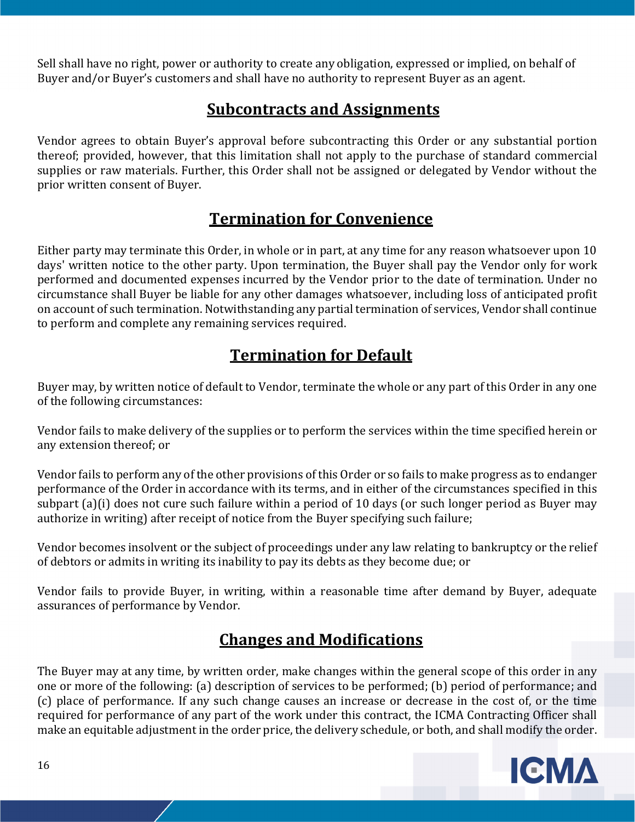Sell shall have no right, power or authority to create any obligation, expressed or implied, on behalf of Buyer and/or Buyer's customers and shall have no authority to represent Buyer as an agent.

## **Subcontracts and Assignments**

Vendor agrees to obtain Buyer's approval before subcontracting this Order or any substantial portion thereof; provided, however, that this limitation shall not apply to the purchase of standard commercial supplies or raw materials. Further, this Order shall not be assigned or delegated by Vendor without the prior written consent of Buyer.

## **Termination for Convenience**

Either party may terminate this Order, in whole or in part, at any time for any reason whatsoever upon 10 days' written notice to the other party. Upon termination, the Buyer shall pay the Vendor only for work performed and documented expenses incurred by the Vendor prior to the date of termination. Under no circumstance shall Buyer be liable for any other damages whatsoever, including loss of anticipated profit on account of such termination. Notwithstanding any partial termination of services, Vendor shall continue to perform and complete any remaining services required.

# **Termination for Default**

Buyer may, by written notice of default to Vendor, terminate the whole or any part of this Order in any one of the following circumstances:

Vendor fails to make delivery of the supplies or to perform the services within the time specified herein or any extension thereof; or

Vendor fails to perform any of the other provisions of this Order or so fails to make progress as to endanger performance of the Order in accordance with its terms, and in either of the circumstances specified in this subpart (a)(i) does not cure such failure within a period of 10 days (or such longer period as Buyer may authorize in writing) after receipt of notice from the Buyer specifying such failure;

Vendor becomes insolvent or the subject of proceedings under any law relating to bankruptcy or the relief of debtors or admits in writing its inability to pay its debts as they become due; or

Vendor fails to provide Buyer, in writing, within a reasonable time after demand by Buyer, adequate assurances of performance by Vendor.

# **Changes and Modifications**

The Buyer may at any time, by written order, make changes within the general scope of this order in any one or more of the following: (a) description of services to be performed; (b) period of performance; and (c) place of performance. If any such change causes an increase or decrease in the cost of, or the time required for performance of any part of the work under this contract, the ICMA Contracting Officer shall make an equitable adjustment in the order price, the delivery schedule, or both, and shall modify the order.

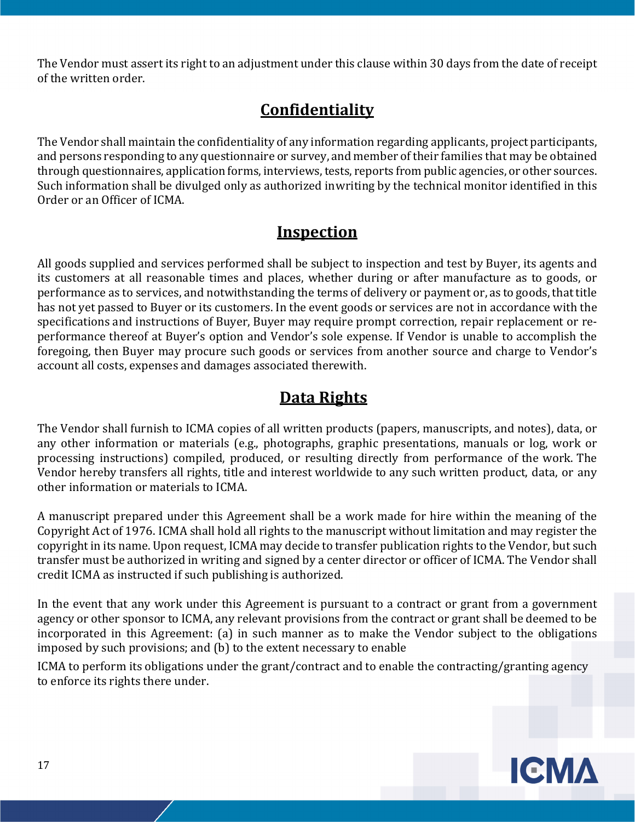The Vendor must assert its right to an adjustment under this clause within 30 days from the date of receipt of the written order.

# **Confidentiality**

The Vendor shall maintain the confidentiality of any information regarding applicants, project participants, and persons responding to any questionnaire or survey, and member of their families that may be obtained through questionnaires, application forms, interviews, tests, reports from public agencies, or other sources. Such information shall be divulged only as authorized in writing by the technical monitor identified in this Order or an Officer of ICMA.

## **Inspection**

All goods supplied and services performed shall be subject to inspection and test by Buyer, its agents and its customers at all reasonable times and places, whether during or after manufacture as to goods, or performance as to services, and notwithstanding the terms of delivery or payment or, as to goods, that title has not yet passed to Buyer or its customers. In the event goods or services are not in accordance with the specifications and instructions of Buyer, Buyer may require prompt correction, repair replacement or reperformance thereof at Buyer's option and Vendor's sole expense. If Vendor is unable to accomplish the foregoing, then Buyer may procure such goods or services from another source and charge to Vendor's account all costs, expenses and damages associated therewith.

# **Data Rights**

The Vendor shall furnish to ICMA copies of all written products (papers, manuscripts, and notes), data, or any other information or materials (e.g., photographs, graphic presentations, manuals or log, work or processing instructions) compiled, produced, or resulting directly from performance of the work. The Vendor hereby transfers all rights, title and interest worldwide to any such written product, data, or any other information or materials to ICMA.

A manuscript prepared under this Agreement shall be a work made for hire within the meaning of the Copyright Act of 1976. ICMA shall hold all rights to the manuscript without limitation and may register the copyright in its name. Upon request, ICMA may decide to transfer publication rights to the Vendor, but such transfer must be authorized in writing and signed by a center director or officer of ICMA. The Vendor shall credit ICMA as instructed if such publishing is authorized.

In the event that any work under this Agreement is pursuant to a contract or grant from a government agency or other sponsor to ICMA, any relevant provisions from the contract or grant shall be deemed to be incorporated in this Agreement: (a) in such manner as to make the Vendor subject to the obligations imposed by such provisions; and (b) to the extent necessary to enable

ICMA to perform its obligations under the grant/contract and to enable the contracting/granting agency to enforce its rights there under.

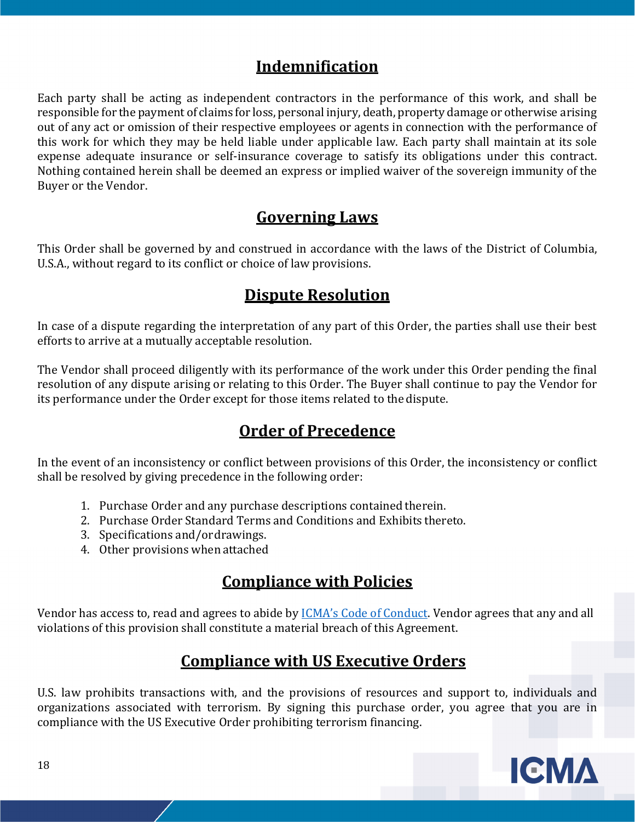## **Indemnification**

Each party shall be acting as independent contractors in the performance of this work, and shall be responsible for the payment of claims for loss, personal injury, death, property damage or otherwise arising out of any act or omission of their respective employees or agents in connection with the performance of this work for which they may be held liable under applicable law. Each party shall maintain at its sole expense adequate insurance or self-insurance coverage to satisfy its obligations under this contract. Nothing contained herein shall be deemed an express or implied waiver of the sovereign immunity of the Buyer or the Vendor.

## **Governing Laws**

This Order shall be governed by and construed in accordance with the laws of the District of Columbia, U.S.A., without regard to its conflict or choice of law provisions.

## **Dispute Resolution**

In case of a dispute regarding the interpretation of any part of this Order, the parties shall use their best efforts to arrive at a mutually acceptable resolution.

The Vendor shall proceed diligently with its performance of the work under this Order pending the final resolution of any dispute arising or relating to this Order. The Buyer shall continue to pay the Vendor for its performance under the Order except for those items related to the dispute.

# **Order of Precedence**

In the event of an inconsistency or conflict between provisions of this Order, the inconsistency or conflict shall be resolved by giving precedence in the following order:

- 1. Purchase Order and any purchase descriptions contained therein.
- 2. Purchase Order Standard Terms and Conditions and Exhibits thereto.
- 3. Specifications and/or drawings.
- 4. Other provisions when attached

# **Compliance with Policies**

Vendor has access to, read and agrees to abide by ICMA's Code of Conduct. Vendor agrees that any and all violations of this provision shall constitute a material breach of this Agreement.

# **Compliance with US Executive Orders**

U.S. law prohibits transactions with, and the provisions of resources and support to, individuals and organizations associated with terrorism. By signing this purchase order, you agree that you are in compliance with the US Executive Order prohibiting terrorism financing.